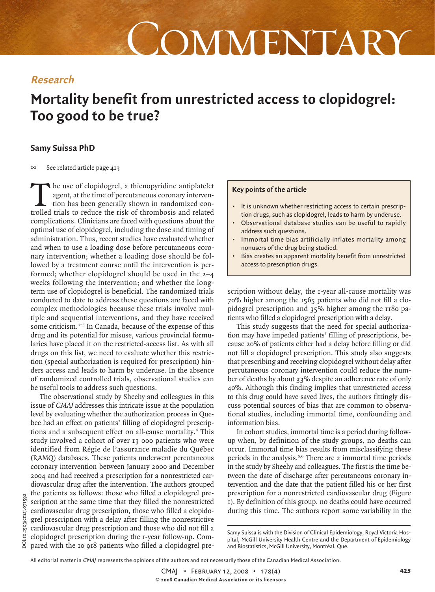# COMMENTARY

# **Research**

# **Mortality benefit from unrestricted access to clopidogrel: Too good to be true?**

## **Samy Suissa PhD**

 $\infty$ See related article page 413

The use of clopidogrel, a thienopyridine antiplatelet agent, at the time of percutaneous coronary intervention has been generally shown in randomized controlled trials to reduce the risk of thrombosis and related complications. Clinicians are faced with questions about the optimal use of clopidogrel, including the dose and timing of administration. Thus, recent studies have evaluated whether and when to use a loading dose before percutaneous coronary intervention; whether a loading dose should be followed by a treatment course until the intervention is performed; whether clopidogrel should be used in the 2–4 weeks following the intervention; and whether the longterm use of clopidogrel is beneficial. The randomized trials conducted to date to address these questions are faced with complex methodologies because these trials involve multiple and sequential interventions, and they have received some criticism.<sup>1-3</sup> In Canada, because of the expense of this drug and its potential for misuse, various provincial formularies have placed it on the restricted-access list. As with all drugs on this list, we need to evaluate whether this restriction (special authorization is required for prescription) hinders access and leads to harm by underuse. In the absence of randomized controlled trials, observational studies can be useful tools to address such questions.

The observational study by Sheehy and colleagues in this issue of CMAJ addresses this intricate issue at the population level by evaluating whether the authorization process in Quebec had an effect on patients' filling of clopidogrel prescriptions and a subsequent effect on all-cause mortality.<sup>4</sup> This study involved a cohort of over 13 000 patients who were identified from Régie de l'assurance maladie du Québec (RAMQ) databases. These patients underwent percutaneous coronary intervention between January 2000 and December 2004 and had received a prescription for a nonrestricted cardiovascular drug after the intervention. The authors grouped the patients as follows: those who filled a clopidogrel prescription at the same time that they filled the nonrestricted cardiovascular drug prescription, those who filled a clopidogrel prescription with a delay after filling the nonrestrictive cardiovascular drug prescription and those who did not fill a clopidogrel prescription during the 1-year follow-up. Compared with the 10 918 patients who filled a clopidogrel pre-

### **Key points of the article**

- It is unknown whether restricting access to certain prescription drugs, such as clopidogrel, leads to harm by underuse.
- Observational database studies can be useful to rapidly address such questions.
- Immortal time bias artificially inflates mortality among nonusers of the drug being studied.
- Bias creates an apparent mortality benefit from unrestricted access to prescription drugs.

scription without delay, the 1-year all-cause mortality was 70% higher among the 1565 patients who did not fill a clopidogrel prescription and 35% higher among the 1180 patients who filled a clopidogrel prescription with a delay.

This study suggests that the need for special authorization may have impeded patients' filling of prescriptions, because 20% of patients either had a delay before filling or did not fill a clopidogrel prescription. This study also suggests that prescribing and receiving clopidogrel without delay after percutaneous coronary intervention could reduce the number of deaths by about 33% despite an adherence rate of only 40%. Although this finding implies that unrestricted access to this drug could have saved lives, the authors fittingly discuss potential sources of bias that are common to observational studies, including immortal time, confounding and information bias.

In cohort studies, immortal time is a period during followup when, by definition of the study groups, no deaths can occur. Immortal time bias results from misclassifying these periods in the analysis.<sup>5,6</sup> There are 2 immortal time periods in the study by Sheehy and colleagues. The first is the time between the date of discharge after percutaneous coronary intervention and the date that the patient filled his or her first prescription for a nonrestricted cardiovascular drug (Figure 1). By definition of this group, no deaths could have occurred during this time. The authors report some variability in the

All editorial matter in CMAJ represents the opinions of the authors and not necessarily those of the Canadian Medical Association.

Samy Suissa is with the Division of Clinical Epidemiology, Royal Victoria Hospital, McGill University Health Centre and the Department of Epidemiology and Biostatistics, McGill University, Montréal, Que.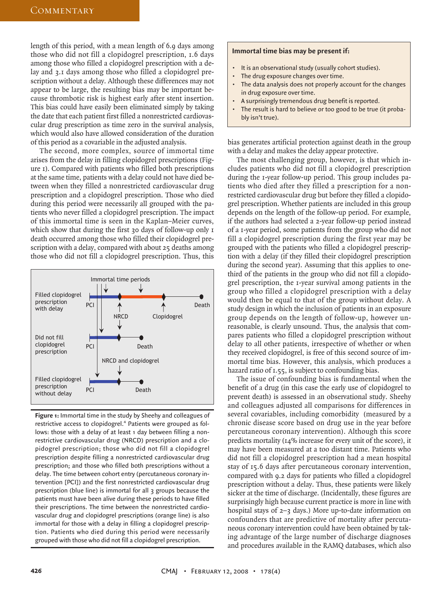length of this period, with a mean length of 6.9 days among those who did not fill a clopidogrel prescription, 1.6 days among those who filled a clopidogrel prescription with a delay and 3.1 days among those who filled a clopidogrel prescription without a delay. Although these differences may not appear to be large, the resulting bias may be important because thrombotic risk is highest early after stent insertion. This bias could have easily been eliminated simply by taking the date that each patient first filled a nonrestricted cardiovascular drug prescription as time zero in the survival analysis, which would also have allowed consideration of the duration of this period as a covariable in the adjusted analysis.

The second, more complex, source of immortal time arises from the delay in filling clopidogrel prescriptions (Figure 1). Compared with patients who filled both prescriptions at the same time, patients with a delay could not have died between when they filled a nonrestricted cardiovascular drug prescription and a clopidogrel prescription. Those who died during this period were necessarily all grouped with the patients who never filled a clopidogrel prescription. The impact of this immortal time is seen in the Kaplan–Meier curves, which show that during the first 30 days of follow-up only I death occurred among those who filled their clopidogrel prescription with a delay, compared with about 25 deaths among those who did not fill a clopidogrel prescription. Thus, this



**Figure 1:** Immortal time in the study by Sheehy and colleagues of restrictive access to clopidogrel.<sup>4</sup> Patients were grouped as follows: those with a delay of at least 1 day between filling a nonrestrictive cardiovascular drug (NRCD) prescription and a clopidogrel prescription; those who did not fill a clopidogrel prescription despite filling a nonrestricted cardiovascular drug prescription; and those who filled both prescriptions without a delay. The time between cohort entry (percutaneous coronary intervention [PCI]) and the first nonrestricted cardiovascular drug prescription (blue line) is immortal for all 3 groups because the patients must have been alive during these periods to have filled their prescriptions. The time between the nonrestricted cardiovascular drug and clopidogrel prescriptions (orange line) is also immortal for those with a delay in filling a clopidogrel prescription. Patients who died during this period were necessarily grouped with those who did not fill a clopidogrel prescription.

#### **Immortal time bias may be present if:**

- It is an observational study (usually cohort studies).
- The drug exposure changes over time.
- The data analysis does not properly account for the changes in drug exposure over time.
- A surprisingly tremendous drug benefit is reported.
- The result is hard to believe or too good to be true (it probably isn't true).

bias generates artificial protection against death in the group with a delay and makes the delay appear protective.

The most challenging group, however, is that which includes patients who did not fill a clopidogrel prescription during the 1-year follow-up period. This group includes patients who died after they filled a prescription for a nonrestricted cardiovascular drug but before they filled a clopidogrel prescription. Whether patients are included in this group depends on the length of the follow-up period. For example, if the authors had selected a 2-year follow-up period instead of a 1-year period, some patients from the group who did not fill a clopidogrel prescription during the first year may be grouped with the patients who filled a clopidogrel prescription with a delay (if they filled their clopidogrel prescription during the second year). Assuming that this applies to onethird of the patients in the group who did not fill a clopidogrel prescription, the 1-year survival among patients in the group who filled a clopidogrel prescription with a delay would then be equal to that of the group without delay. A study design in which the inclusion of patients in an exposure group depends on the length of follow-up, however unreasonable, is clearly unsound. Thus, the analysis that compares patients who filled a clopidogrel prescription without delay to all other patients, irrespective of whether or when they received clopidogrel, is free of this second source of immortal time bias. However, this analysis, which produces a hazard ratio of 1.55, is subject to confounding bias.

The issue of confounding bias is fundamental when the benefit of a drug (in this case the early use of clopidogrel to prevent death) is assessed in an observational study. Sheehy and colleagues adjusted all comparisons for differences in several covariables, including comorbidity (measured by a chronic disease score based on drug use in the year before percutaneous coronary intervention). Although this score predicts mortality (14% increase for every unit of the score), it may have been measured at a too distant time. Patients who did not fill a clopidogrel prescription had a mean hospital stay of 15.6 days after percutaneous coronary intervention, compared with 9.2 days for patients who filled a clopidogrel prescription without a delay. Thus, these patients were likely sicker at the time of discharge. (Incidentally, these figures are surprisingly high because current practice is more in line with hospital stays of 2–3 days.) More up-to-date information on confounders that are predictive of mortality after percutaneous coronary intervention could have been obtained by taking advantage of the large number of discharge diagnoses and procedures available in the RAMQ databases, which also